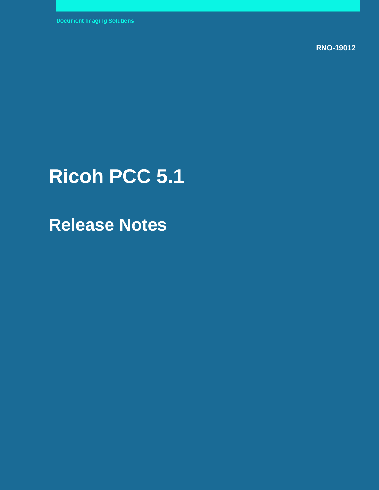**RNO-19012** 

# **Ricoh PCC 5.1**

**Release Notes**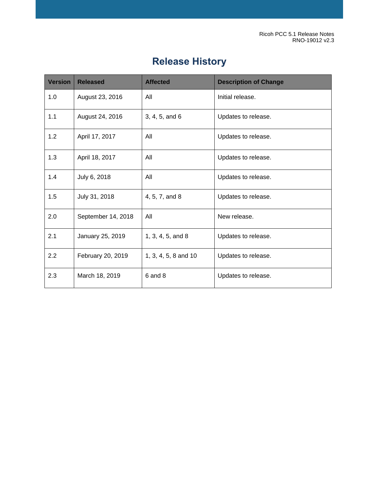Ricoh PCC 5.1 Release Notes RNO-19012 v2.3

# **Release History**

| <b>Version</b> | <b>Released</b>    | <b>Affected</b>      | <b>Description of Change</b> |
|----------------|--------------------|----------------------|------------------------------|
| 1.0            | August 23, 2016    | All                  | Initial release.             |
| 1.1            | August 24, 2016    | 3, 4, 5, and 6       | Updates to release.          |
| 1.2            | April 17, 2017     | All                  | Updates to release.          |
| 1.3            | April 18, 2017     | All                  | Updates to release.          |
| 1.4            | July 6, 2018       | All                  | Updates to release.          |
| 1.5            | July 31, 2018      | 4, 5, 7, and 8       | Updates to release.          |
| 2.0            | September 14, 2018 | All                  | New release.                 |
| 2.1            | January 25, 2019   | 1, 3, 4, 5, and 8    | Updates to release.          |
| 2.2            | February 20, 2019  | 1, 3, 4, 5, 8 and 10 | Updates to release.          |
| 2.3            | March 18, 2019     | 6 and 8              | Updates to release.          |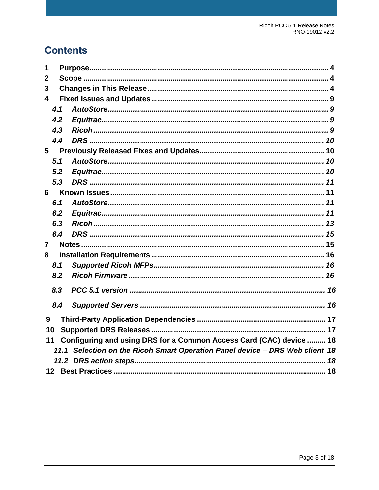# **Contents**

| 1              |     |                                                                              |  |
|----------------|-----|------------------------------------------------------------------------------|--|
| $\mathbf 2$    |     |                                                                              |  |
| 3              |     |                                                                              |  |
| 4              |     |                                                                              |  |
|                | 4.1 |                                                                              |  |
|                | 4.2 |                                                                              |  |
|                | 4.3 |                                                                              |  |
|                | 4.4 |                                                                              |  |
| 5              |     |                                                                              |  |
|                | 5.1 |                                                                              |  |
|                | 5.2 |                                                                              |  |
|                | 5.3 |                                                                              |  |
| 6              |     |                                                                              |  |
|                | 6.1 |                                                                              |  |
|                | 6.2 |                                                                              |  |
|                | 6.3 |                                                                              |  |
|                | 6.4 |                                                                              |  |
| $\overline{7}$ |     |                                                                              |  |
| 8              |     |                                                                              |  |
|                | 8.1 |                                                                              |  |
|                | 8.2 |                                                                              |  |
|                | 8.3 |                                                                              |  |
|                | 8.4 |                                                                              |  |
| 9              |     |                                                                              |  |
| 10             |     |                                                                              |  |
| 11             |     | Configuring and using DRS for a Common Access Card (CAC) device  18          |  |
|                |     | 11.1 Selection on the Ricoh Smart Operation Panel device - DRS Web client 18 |  |
|                |     |                                                                              |  |
|                |     |                                                                              |  |

© 2019 Kofax. All rights reserved.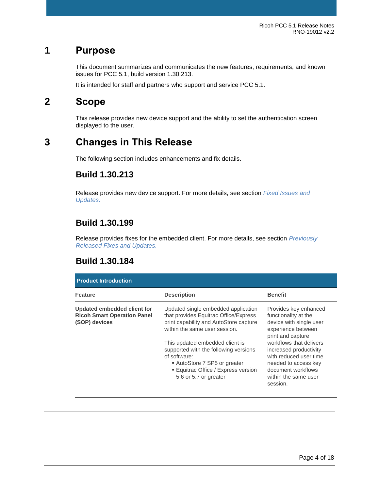# <span id="page-3-0"></span>**1 Purpose**

This document summarizes and communicates the new features, requirements, and known issues for PCC 5.1, build version 1.30.213.

It is intended for staff and partners who support and service PCC 5.1.

# <span id="page-3-1"></span>**2 Scope**

This release provides new device support and the ability to set the authentication screen displayed to the user.

# <span id="page-3-2"></span>**3 Changes in This Release**

The following section includes enhancements and fix details.

## **Build 1.30.213**

Release provides new device support. For more details, see section *[Fixed Issues and](#page-8-0)  [Updates.](#page-8-0)*

## **Build 1.30.199**

Release provides fixes for the embedded client. For more details, see section *Previously Released Fixes and Updates.*

#### **Build 1.30.184**

| <b>Product Introduction</b>                                                        |                                                                                                                                                                                                                                                                                                                                                   |                                                                                                                                                                                                                                                                                      |  |  |
|------------------------------------------------------------------------------------|---------------------------------------------------------------------------------------------------------------------------------------------------------------------------------------------------------------------------------------------------------------------------------------------------------------------------------------------------|--------------------------------------------------------------------------------------------------------------------------------------------------------------------------------------------------------------------------------------------------------------------------------------|--|--|
| <b>Feature</b>                                                                     | <b>Description</b>                                                                                                                                                                                                                                                                                                                                | <b>Benefit</b>                                                                                                                                                                                                                                                                       |  |  |
| Updated embedded client for<br><b>Ricoh Smart Operation Panel</b><br>(SOP) devices | Updated single embedded application<br>that provides Equitrac Office/Express<br>print capability and AutoStore capture<br>within the same user session.<br>This updated embedded client is<br>supported with the following versions<br>of software:<br>AutoStore 7 SP5 or greater<br>■ Equitrac Office / Express version<br>5.6 or 5.7 or greater | Provides key enhanced<br>functionality at the<br>device with single user<br>experience between<br>print and capture<br>workflows that delivers<br>increased productivity<br>with reduced user time<br>needed to access key<br>document workflows<br>within the same user<br>session. |  |  |

© 2019 Kofax. All rights reserved.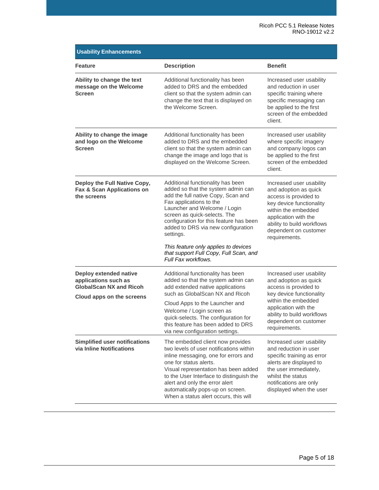| <b>Usability Enhancements</b>                                                                                 |                                                                                                                                                                                                                                                                                                                                                                                                                 |                                                                                                                                                                                                                               |  |  |
|---------------------------------------------------------------------------------------------------------------|-----------------------------------------------------------------------------------------------------------------------------------------------------------------------------------------------------------------------------------------------------------------------------------------------------------------------------------------------------------------------------------------------------------------|-------------------------------------------------------------------------------------------------------------------------------------------------------------------------------------------------------------------------------|--|--|
| Feature                                                                                                       | <b>Description</b>                                                                                                                                                                                                                                                                                                                                                                                              | <b>Benefit</b>                                                                                                                                                                                                                |  |  |
| Ability to change the text<br>message on the Welcome<br>Screen                                                | Additional functionality has been<br>added to DRS and the embedded<br>client so that the system admin can<br>change the text that is displayed on<br>the Welcome Screen.                                                                                                                                                                                                                                        | Increased user usability<br>and reduction in user<br>specific training where<br>specific messaging can<br>be applied to the first<br>screen of the embedded<br>client.                                                        |  |  |
| Ability to change the image<br>and logo on the Welcome<br><b>Screen</b>                                       | Additional functionality has been<br>added to DRS and the embedded<br>client so that the system admin can<br>change the image and logo that is<br>displayed on the Welcome Screen.                                                                                                                                                                                                                              | Increased user usability<br>where specific imagery<br>and company logos can<br>be applied to the first<br>screen of the embedded<br>client.                                                                                   |  |  |
| Deploy the Full Native Copy,<br>Fax & Scan Applications on<br>the screens                                     | Additional functionality has been<br>added so that the system admin can<br>add the full native Copy, Scan and<br>Fax applications to the<br>Launcher and Welcome / Login<br>screen as quick-selects. The<br>configuration for this feature has been<br>added to DRS via new configuration<br>settings.<br>This feature only applies to devices<br>that support Full Copy, Full Scan, and<br>Full Fax workflows. | Increased user usability<br>and adoption as quick<br>access is provided to<br>key device functionality<br>within the embedded<br>application with the<br>ability to build workflows<br>dependent on customer<br>requirements. |  |  |
| Deploy extended native<br>applications such as<br><b>GlobalScan NX and Ricoh</b><br>Cloud apps on the screens | Additional functionality has been<br>added so that the system admin can<br>add extended native applications<br>such as GlobalScan NX and Ricoh<br>Cloud Apps to the Launcher and<br>Welcome / Login screen as<br>quick-selects. The configuration for<br>this feature has been added to DRS<br>via new configuration settings.                                                                                  | Increased user usability<br>and adoption as quick<br>access is provided to<br>key device functionality<br>within the embedded<br>application with the<br>ability to build workflows<br>dependent on customer<br>requirements. |  |  |
| <b>Simplified user notifications</b><br>via Inline Notifications                                              | The embedded client now provides<br>two levels of user notifications within<br>inline messaging, one for errors and<br>one for status alerts.<br>Visual representation has been added<br>to the User Interface to distinguish the<br>alert and only the error alert<br>automatically pops-up on screen.<br>When a status alert occurs, this will                                                                | Increased user usability<br>and reduction in user<br>specific training as error<br>alerts are displayed to<br>the user immediately,<br>whilst the status<br>notifications are only<br>displayed when the user                 |  |  |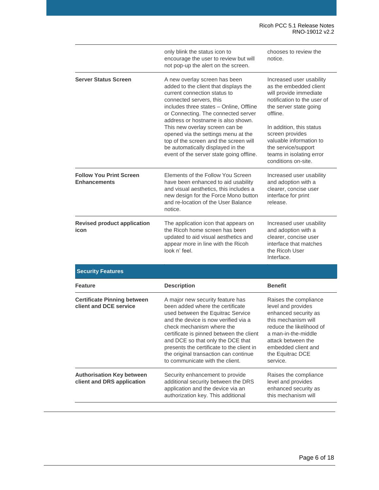|                                                                | only blink the status icon to<br>encourage the user to review but will<br>not pop-up the alert on the screen.                                                                                                                                                                                                                                                                                                                                                | chooses to review the<br>notice.                                                                                                                                                                                                                                                                      |
|----------------------------------------------------------------|--------------------------------------------------------------------------------------------------------------------------------------------------------------------------------------------------------------------------------------------------------------------------------------------------------------------------------------------------------------------------------------------------------------------------------------------------------------|-------------------------------------------------------------------------------------------------------------------------------------------------------------------------------------------------------------------------------------------------------------------------------------------------------|
| <b>Server Status Screen</b>                                    | A new overlay screen has been<br>added to the client that displays the<br>current connection status to<br>connected servers, this<br>includes three states - Online, Offline<br>or Connecting. The connected server<br>address or hostname is also shown.<br>This new overlay screen can be<br>opened via the settings menu at the<br>top of the screen and the screen will<br>be automatically displayed in the<br>event of the server state going offline. | Increased user usability<br>as the embedded client<br>will provide immediate<br>notification to the user of<br>the server state going<br>offline.<br>In addition, this status<br>screen provides<br>valuable information to<br>the service/support<br>teams in isolating error<br>conditions on-site. |
| <b>Follow You Print Screen</b><br><b>Enhancements</b>          | Elements of the Follow You Screen<br>have been enhanced to aid usability<br>and visual aesthetics, this includes a<br>new design for the Force Mono button<br>and re-location of the User Balance<br>notice.                                                                                                                                                                                                                                                 | Increased user usability<br>and adoption with a<br>clearer, concise user<br>interface for print<br>release.                                                                                                                                                                                           |
| <b>Revised product application</b><br>icon                     | The application icon that appears on<br>the Ricoh home screen has been<br>updated to aid visual aesthetics and<br>appear more in line with the Ricoh<br>look n' feel.                                                                                                                                                                                                                                                                                        | Increased user usability<br>and adoption with a<br>clearer, concise user<br>interface that matches<br>the Ricoh User<br>Interface.                                                                                                                                                                    |
| <b>Security Features</b>                                       |                                                                                                                                                                                                                                                                                                                                                                                                                                                              |                                                                                                                                                                                                                                                                                                       |
| Feature                                                        | <b>Description</b>                                                                                                                                                                                                                                                                                                                                                                                                                                           | <b>Benefit</b>                                                                                                                                                                                                                                                                                        |
| <b>Certificate Pinning between</b><br>client and DCE service   | A major new security feature has<br>been added where the certificate<br>used between the Equitrac Service<br>and the device is now verified via a<br>check mechanism where the<br>certificate is pinned between the client<br>and DCE so that only the DCE that<br>presents the certificate to the client in<br>the original transaction can continue<br>to communicate with the client.                                                                     | Raises the compliance<br>level and provides<br>enhanced security as<br>this mechanism will<br>reduce the likelihood of<br>a man-in-the-middle<br>attack between the<br>embedded client and<br>the Equitrac DCE<br>service.                                                                            |
| <b>Authorisation Key between</b><br>client and DRS application | Security enhancement to provide<br>additional security between the DRS<br>application and the device via an<br>authorization key. This additional                                                                                                                                                                                                                                                                                                            | Raises the compliance<br>level and provides<br>enhanced security as<br>this mechanism will                                                                                                                                                                                                            |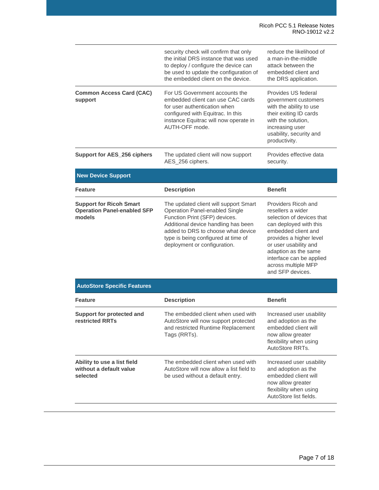|                                                                                | security check will confirm that only<br>the initial DRS instance that was used<br>to deploy / configure the device can<br>be used to update the configuration of<br>the embedded client on the device.                                                             | reduce the likelihood of<br>a man-in-the-middle<br>attack between the<br>embedded client and<br>the DRS application.                                                                                                                                                      |
|--------------------------------------------------------------------------------|---------------------------------------------------------------------------------------------------------------------------------------------------------------------------------------------------------------------------------------------------------------------|---------------------------------------------------------------------------------------------------------------------------------------------------------------------------------------------------------------------------------------------------------------------------|
| <b>Common Access Card (CAC)</b><br>support                                     | For US Government accounts the<br>embedded client can use CAC cards<br>for user authentication when<br>configured with Equitrac. In this<br>instance Equitrac will now operate in<br>AUTH-OFF mode.                                                                 | Provides US federal<br>government customers<br>with the ability to use<br>their exiting ID cards<br>with the solution.<br>increasing user<br>usability, security and<br>productivity.                                                                                     |
| Support for AES 256 ciphers                                                    | The updated client will now support<br>AES_256 ciphers.                                                                                                                                                                                                             | Provides effective data<br>security.                                                                                                                                                                                                                                      |
| <b>New Device Support</b>                                                      |                                                                                                                                                                                                                                                                     |                                                                                                                                                                                                                                                                           |
| <b>Feature</b>                                                                 | <b>Description</b>                                                                                                                                                                                                                                                  | <b>Benefit</b>                                                                                                                                                                                                                                                            |
| <b>Support for Ricoh Smart</b><br><b>Operation Panel-enabled SFP</b><br>models | The updated client will support Smart<br><b>Operation Panel-enabled Single</b><br>Function Print (SFP) devices.<br>Additional device handling has been<br>added to DRS to choose what device<br>type is being configured at time of<br>deployment or configuration. | Providers Ricoh and<br>resellers a wider<br>selection of devices that<br>can deployed with this<br>embedded client and<br>provides a higher level<br>or user usability and<br>adaption as the same<br>interface can be applied<br>across multiple MFP<br>and SFP devices. |
| <b>AutoStore Specific Features</b>                                             |                                                                                                                                                                                                                                                                     |                                                                                                                                                                                                                                                                           |
| <b>Feature</b>                                                                 | <b>Description</b>                                                                                                                                                                                                                                                  | <b>Benefit</b>                                                                                                                                                                                                                                                            |
| Support for protected and<br>restricted RRTs                                   | The embedded client when used with<br>AutoStore will now support protected<br>and restricted Runtime Replacement<br>Tags (RRTs).                                                                                                                                    | Increased user usability<br>and adoption as the<br>embedded client will<br>now allow greater<br>flexibility when using<br>AutoStore RRTs.                                                                                                                                 |

**Ability to use a list field without a default value selected** The embedded client when used with AutoStore will now allow a list field to be used without a default entry. Increased user usability and adoption as the embedded client will now allow greater flexibility when using AutoStore list fields.

#### © 2019 Kofax. All rights reserved.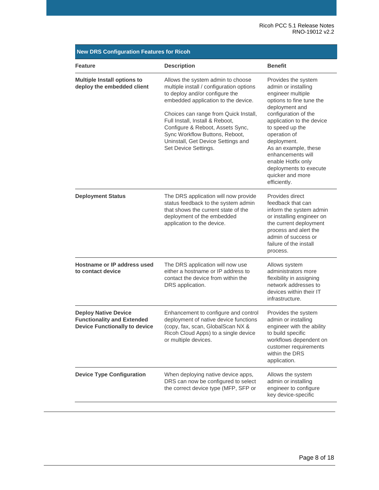| <b>Feature</b>                                                                                           | <b>Description</b>                                                                                                                                                                                                                                                                                                                                                     | <b>Benefit</b>                                                                                                                                                                                                                                                                                                                                        |
|----------------------------------------------------------------------------------------------------------|------------------------------------------------------------------------------------------------------------------------------------------------------------------------------------------------------------------------------------------------------------------------------------------------------------------------------------------------------------------------|-------------------------------------------------------------------------------------------------------------------------------------------------------------------------------------------------------------------------------------------------------------------------------------------------------------------------------------------------------|
| <b>Multiple Install options to</b><br>deploy the embedded client                                         | Allows the system admin to choose<br>multiple install / configuration options<br>to deploy and/or configure the<br>embedded application to the device.<br>Choices can range from Quick Install,<br>Full Install, Install & Reboot,<br>Configure & Reboot, Assets Sync,<br>Sync Workflow Buttons, Reboot,<br>Uninstall, Get Device Settings and<br>Set Device Settings. | Provides the system<br>admin or installing<br>engineer multiple<br>options to fine tune the<br>deployment and<br>configuration of the<br>application to the device<br>to speed up the<br>operation of<br>deployment.<br>As an example, these<br>enhancements will<br>enable Hotfix only<br>deployments to execute<br>quicker and more<br>efficiently. |
| <b>Deployment Status</b>                                                                                 | The DRS application will now provide<br>status feedback to the system admin<br>that shows the current state of the<br>deployment of the embedded<br>application to the device.                                                                                                                                                                                         | Provides direct<br>feedback that can<br>inform the system admin<br>or installing engineer on<br>the current deployment<br>process and alert the<br>admin of success or<br>failure of the install<br>process.                                                                                                                                          |
| Hostname or IP address used<br>to contact device                                                         | The DRS application will now use<br>either a hostname or IP address to<br>contact the device from within the<br>DRS application.                                                                                                                                                                                                                                       | Allows system<br>administrators more<br>flexibility in assigning<br>network addresses to<br>devices within their IT<br>infrastructure.                                                                                                                                                                                                                |
| <b>Deploy Native Device</b><br><b>Functionality and Extended</b><br><b>Device Functionally to device</b> | Enhancement to configure and control<br>deployment of native device functions<br>(copy, fax, scan, GlobalScan NX &<br>Ricoh Cloud Apps) to a single device<br>or multiple devices.                                                                                                                                                                                     | Provides the system<br>admin or installing<br>engineer with the ability<br>to build specific<br>workflows dependent on<br>customer requirements<br>within the DRS<br>application.                                                                                                                                                                     |
| <b>Device Type Configuration</b>                                                                         | When deploying native device apps,<br>DRS can now be configured to select<br>the correct device type (MFP, SFP or                                                                                                                                                                                                                                                      | Allows the system<br>admin or installing<br>engineer to configure<br>key device-specific                                                                                                                                                                                                                                                              |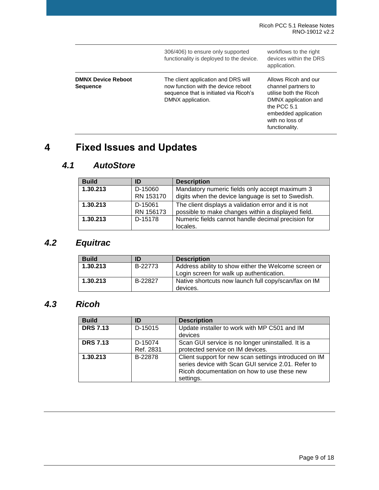|                                              | 306/406) to ensure only supported<br>functionality is deployed to the device.                                                             | workflows to the right<br>devices within the DRS<br>application.                                                                                                          |
|----------------------------------------------|-------------------------------------------------------------------------------------------------------------------------------------------|---------------------------------------------------------------------------------------------------------------------------------------------------------------------------|
| <b>DMNX Device Reboot</b><br><b>Sequence</b> | The client application and DRS will<br>now function with the device reboot<br>sequence that is initiated via Ricoh's<br>DMNX application. | Allows Ricoh and our<br>channel partners to<br>utilise both the Ricoh<br>DMNX application and<br>the PCC 5.1<br>embedded application<br>with no loss of<br>functionality. |

# <span id="page-8-0"></span>**4 Fixed Issues and Updates**

## <span id="page-8-1"></span>*4.1 AutoStore*

| <b>Build</b> | ID                   | <b>Description</b>                                                                                         |
|--------------|----------------------|------------------------------------------------------------------------------------------------------------|
| 1.30.213     | D-15060<br>RN 153170 | Mandatory numeric fields only accept maximum 3<br>digits when the device language is set to Swedish.       |
| 1.30.213     | D-15061<br>RN 156173 | The client displays a validation error and it is not<br>possible to make changes within a displayed field. |
| 1.30.213     | D-15178              | Numeric fields cannot handle decimal precision for<br>locales.                                             |

# <span id="page-8-2"></span>*4.2 Equitrac*

| <b>Build</b> | ID      | <b>Description</b>                                               |
|--------------|---------|------------------------------------------------------------------|
| 1.30.213     | B-22773 | Address ability to show either the Welcome screen or             |
|              |         | Login screen for walk up authentication.                         |
| 1.30.213     | B-22827 | Native shortcuts now launch full copy/scan/fax on IM<br>devices. |

## <span id="page-8-3"></span>*4.3 Ricoh*

| <b>Build</b>    | ID                   | <b>Description</b>                                                                                                                                                      |
|-----------------|----------------------|-------------------------------------------------------------------------------------------------------------------------------------------------------------------------|
| <b>DRS 7.13</b> | D-15015              | Update installer to work with MP C501 and IM<br>devices                                                                                                                 |
| <b>DRS 7.13</b> | D-15074<br>Ref. 2831 | Scan GUI service is no longer uninstalled. It is a<br>protected service on IM devices.                                                                                  |
| 1.30.213        | B-22878              | Client support for new scan settings introduced on IM<br>series device with Scan GUI service 2.01. Refer to<br>Ricoh documentation on how to use these new<br>settings. |

© 2019 Kofax. All rights reserved.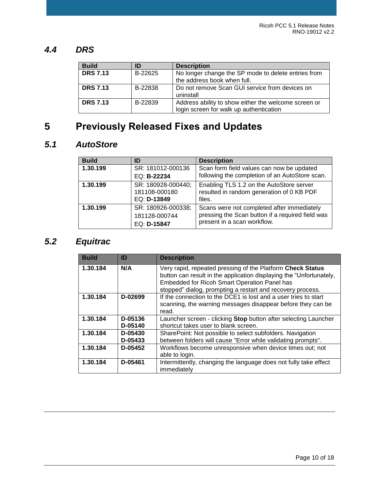#### <span id="page-9-0"></span>*4.4 DRS*

| <b>Build</b>    | ID      | <b>Description</b>                                   |
|-----------------|---------|------------------------------------------------------|
| <b>DRS 7.13</b> | B-22625 | No longer change the SP mode to delete entries from  |
|                 |         | the address book when full.                          |
| <b>DRS 7.13</b> | B-22838 | Do not remove Scan GUI service from devices on       |
|                 |         | uninstall                                            |
| <b>DRS 7.13</b> | B-22839 | Address ability to show either the welcome screen or |
|                 |         | login screen for walk up authentication              |

# <span id="page-9-1"></span>**5 Previously Released Fixes and Updates**

## <span id="page-9-2"></span>*5.1 AutoStore*

| <b>Build</b> | ID                                                 | <b>Description</b>                                                                                                            |
|--------------|----------------------------------------------------|-------------------------------------------------------------------------------------------------------------------------------|
| 1.30.199     | SR: 181012-000136<br>EQ: B-22234                   | Scan form field values can now be updated<br>following the completion of an AutoStore scan.                                   |
| 1.30.199     | SR: 180928-000440;<br>181108-000180<br>EQ: D-13849 | Enabling TLS 1.2 on the AutoStore server<br>resulted in random generation of 0 KB PDF<br>files.                               |
| 1.30.199     | SR: 180926-000338;<br>181128-000744<br>EQ: D-15847 | Scans were not completed after immediately<br>pressing the Scan button if a required field was<br>present in a scan workflow. |

# <span id="page-9-3"></span>*5.2 Equitrac*

| <b>Build</b> | ID                 | <b>Description</b>                                                                                                                                                                                                                              |
|--------------|--------------------|-------------------------------------------------------------------------------------------------------------------------------------------------------------------------------------------------------------------------------------------------|
| 1.30.184     | N/A                | Very rapid, repeated pressing of the Platform Check Status<br>button can result in the application displaying the "Unfortunately,<br>Embedded for Ricoh Smart Operation Panel has<br>stopped" dialog, prompting a restart and recovery process. |
| 1.30.184     | D-02699            | If the connection to the DCE1 is lost and a user tries to start<br>scanning, the warning messages disappear before they can be<br>read.                                                                                                         |
| 1.30.184     | D-05136<br>D-05140 | Launcher screen - clicking Stop button after selecting Launcher<br>shortcut takes user to blank screen.                                                                                                                                         |
| 1.30.184     | D-05430<br>D-05433 | SharePoint: Not possible to select subfolders. Navigation<br>between folders will cause "Error while validating prompts".                                                                                                                       |
| 1.30.184     | D-05452            | Workflows become unresponsive when device times out; not<br>able to login.                                                                                                                                                                      |
| 1.30.184     | D-05461            | Intermittently, changing the language does not fully take effect<br>immediately                                                                                                                                                                 |

© 2019 Kofax. All rights reserved.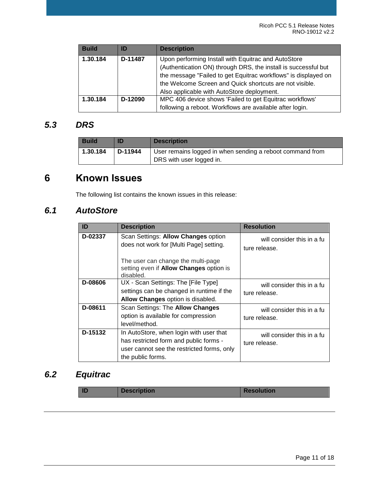| <b>Build</b> | ID      | <b>Description</b>                                             |  |
|--------------|---------|----------------------------------------------------------------|--|
| 1.30.184     | D-11487 | Upon performing Install with Equitrac and AutoStore            |  |
|              |         | (Authentication ON) through DRS, the install is successful but |  |
|              |         | the message "Failed to get Equitrac workflows" is displayed on |  |
|              |         | the Welcome Screen and Quick shortcuts are not visible.        |  |
|              |         | Also applicable with AutoStore deployment.                     |  |
| 1.30.184     | D-12090 | MPC 406 device shows 'Failed to get Equitrac workflows'        |  |
|              |         | following a reboot. Workflows are available after login.       |  |

#### <span id="page-10-0"></span>*5.3 DRS*

| <b>Build</b> | ID      | <b>Description</b>                                                                    |
|--------------|---------|---------------------------------------------------------------------------------------|
| 1.30.184     | D-11944 | User remains logged in when sending a reboot command from<br>DRS with user logged in. |

# <span id="page-10-1"></span>**6 Known Issues**

The following list contains the known issues in this release:

#### <span id="page-10-2"></span>*6.1 AutoStore*

| ID      | <b>Description</b>                                                                                                                                   | <b>Resolution</b>                                 |
|---------|------------------------------------------------------------------------------------------------------------------------------------------------------|---------------------------------------------------|
| D-02337 | Scan Settings: Allow Changes option<br>does not work for [Multi Page] setting.                                                                       | Kofax will consider this in a fu<br>ture release. |
|         | The user can change the multi-page<br>setting even if Allow Changes option is<br>disabled.                                                           |                                                   |
| D-08606 | UX - Scan Settings: The [File Type]<br>settings can be changed in runtime if the<br>Allow Changes option is disabled.                                | Kofax will consider this in a fu<br>ture release. |
| D-08611 | Scan Settings: The Allow Changes<br>option is available for compression<br>level/method.                                                             | Kofax will consider this in a fu<br>ture release. |
| D-15132 | In AutoStore, when login with user that<br>has restricted form and public forms -<br>user cannot see the restricted forms, only<br>the public forms. | Kofax will consider this in a fu<br>ture release. |

## <span id="page-10-3"></span>*6.2 Equitrac*

| ID<br><b>Description</b> | <b>Resolution</b> |
|--------------------------|-------------------|
|--------------------------|-------------------|

© 2019 Kofax. All rights reserved.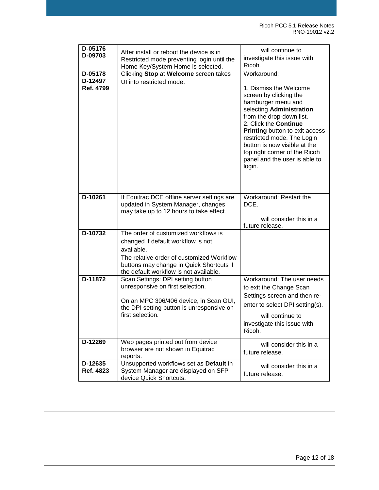| D-05176<br>D-09703              | After install or reboot the device is in<br>Restricted mode preventing login until the<br>Home Key/System Home is selected.                                                                                                 | Kofax will continue to<br>investigate this issue with<br>Ricoh.                                                                                                                                                                                                                                                                                                                            |
|---------------------------------|-----------------------------------------------------------------------------------------------------------------------------------------------------------------------------------------------------------------------------|--------------------------------------------------------------------------------------------------------------------------------------------------------------------------------------------------------------------------------------------------------------------------------------------------------------------------------------------------------------------------------------------|
| D-05178<br>D-12497<br>Ref. 4799 | Clicking Stop at Welcome screen takes<br>UI into restricted mode.                                                                                                                                                           | Workaround:<br>1. Dismiss the Welcome<br>screen by clicking the<br>hamburger menu and<br>selecting Administration<br>from the drop-down list.<br>2. Click the Continue<br><b>Printing</b> button to exit access<br>restricted mode. The Login<br>button is now visible at the<br>top right corner of the Ricoh<br>panel and the user is able to<br>login.<br>Kofax will consider this in a |
| D-10261                         | If Equitrac DCE offline server settings are<br>updated in System Manager, changes<br>may take up to 12 hours to take effect.                                                                                                | future release.<br>Workaround: Restart the<br>DCE.<br>Kofax will consider this in a                                                                                                                                                                                                                                                                                                        |
| D-10732                         | The order of customized workflows is<br>changed if default workflow is not<br>available.<br>The relative order of customized Workflow<br>buttons may change in Quick Shortcuts if<br>the default workflow is not available. | future release.<br>Kofax will consider this in a<br>future release.                                                                                                                                                                                                                                                                                                                        |
| D-11872                         | Scan Settings: DPI setting button<br>unresponsive on first selection.<br>On an MPC 306/406 device, in Scan GUI,<br>the DPI setting button is unresponsive on<br>first selection.                                            | Workaround: The user needs<br>to exit the Change Scan<br>Settings screen and then re-<br>enter to select DPI setting(s).<br>Kofax will continue to<br>investigate this issue with<br>Ricoh.                                                                                                                                                                                                |
| D-12269                         | Web pages printed out from device<br>browser are not shown in Equitrac<br>reports.                                                                                                                                          | Kofax will consider this in a<br>future release.                                                                                                                                                                                                                                                                                                                                           |
| D-12635<br>Ref. 4823            | Unsupported workflows set as Default in<br>System Manager are displayed on SFP<br>device Quick Shortcuts.                                                                                                                   | Kofax will consider this in a<br>future release.                                                                                                                                                                                                                                                                                                                                           |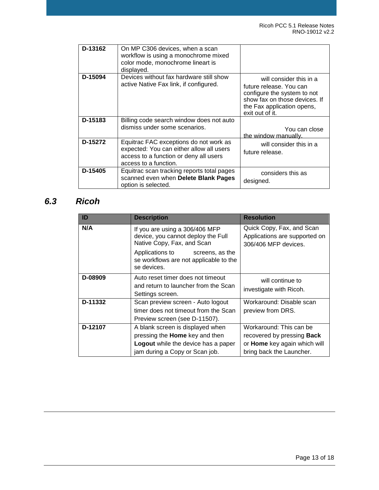| D-13162 | On MP C306 devices, when a scan<br>workflow is using a monochrome mixed<br>color mode, monochrome lineart is<br>displayed.                            | Kofax will consider this in a<br>future release.                                                                                                                          |
|---------|-------------------------------------------------------------------------------------------------------------------------------------------------------|---------------------------------------------------------------------------------------------------------------------------------------------------------------------------|
| D-15094 | Devices without fax hardware still show<br>active Native Fax link, if configured.                                                                     | Kofax will consider this in a<br>future release. You can<br>configure the system to not<br>show fax on those devices. If<br>the Fax application opens,<br>exit out of it. |
| D-15183 | Billing code search window does not auto<br>dismiss under some scenarios.                                                                             | Kofax will consider this in a<br>future release. You can close<br>the window manually.                                                                                    |
| D-15272 | Equitrac FAC exceptions do not work as<br>expected: You can either allow all users<br>access to a function or deny all users<br>access to a function. | Kofax will consider this in a<br>future release.                                                                                                                          |
| D-15405 | Equitrac scan tracking reports total pages<br>scanned even when Delete Blank Pages<br>option is selected.                                             | Kofax considers this as<br>designed.                                                                                                                                      |

# <span id="page-12-0"></span>*6.3 Ricoh*

| ID      | <b>Description</b>                                                                                                                                                                                   | <b>Resolution</b>                                                                                                        |
|---------|------------------------------------------------------------------------------------------------------------------------------------------------------------------------------------------------------|--------------------------------------------------------------------------------------------------------------------------|
| N/A     | If you are using a 306/406 MFP<br>device, you cannot deploy the Full<br>Native Copy, Fax, and Scan<br>Applications to Kofax screens, as the<br>se workflows are not applicable to the<br>se devices. | Quick Copy, Fax, and Scan<br>Applications are supported on<br>306/406 MFP devices.                                       |
| D-08909 | Auto reset timer does not timeout<br>and return to launcher from the Scan<br>Settings screen.                                                                                                        | Kofax will continue to<br>investigate with Ricoh.                                                                        |
| D-11332 | Scan preview screen - Auto logout<br>timer does not timeout from the Scan<br>Preview screen (see D-11507).                                                                                           | Workaround: Disable scan<br>preview from DRS.                                                                            |
| D-12107 | A blank screen is displayed when<br>pressing the Home key and then<br>Logout while the device has a paper<br>jam during a Copy or Scan job.                                                          | Workaround: This can be<br>recovered by pressing <b>Back</b><br>or Home key again which will<br>bring back the Launcher. |

© 2019 Kofax. All rights reserved.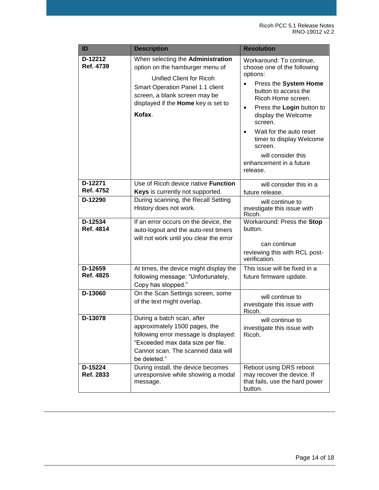| ID                   | <b>Description</b>                                                                                                                                                                                                           | <b>Resolution</b>                                                                                                                                                                                                                                                                                                                                                        |
|----------------------|------------------------------------------------------------------------------------------------------------------------------------------------------------------------------------------------------------------------------|--------------------------------------------------------------------------------------------------------------------------------------------------------------------------------------------------------------------------------------------------------------------------------------------------------------------------------------------------------------------------|
| D-12212<br>Ref. 4739 | When selecting the Administration<br>option on the hamburger menu of<br>Kofax Unified Client for Ricoh<br>Smart Operation Panel 1.1 client<br>screen, a blank screen may be<br>displayed if the Home key is set to<br>Kofax. | Workaround: To continue,<br>choose one of the following<br>options:<br>Press the System Home<br>$\bullet$<br>button to access the<br>Ricoh Home screen.<br>Press the Login button to<br>$\bullet$<br>display the Welcome<br>screen.<br>Wait for the auto reset<br>timer to display Welcome<br>screen.<br>Kofax will consider this<br>enhancement in a future<br>release. |
| D-12271<br>Ref. 4752 | Use of Ricoh device native <b>Function</b><br>Keys is currently not supported.                                                                                                                                               | Kofax will consider this in a<br>future release.                                                                                                                                                                                                                                                                                                                         |
| D-12290              | During scanning, the Recall Setting<br>History does not work.                                                                                                                                                                | Kofax will continue to<br>investigate this issue with<br>Ricoh.                                                                                                                                                                                                                                                                                                          |
| D-12534<br>Ref. 4814 | If an error occurs on the device, the<br>auto-logout and the auto-rest timers<br>will not work until you clear the error                                                                                                     | Workaround: Press the Stop<br>button.<br>Kofax can continue<br>reviewing this with RCL post-<br>verification.                                                                                                                                                                                                                                                            |
| D-12659<br>Ref. 4825 | At times, the device might display the<br>following message: "Unfortunately,<br>Copy has stopped."                                                                                                                           | This issue will be fixed in a<br>future firmware update.                                                                                                                                                                                                                                                                                                                 |
| D-13060              | On the Scan Settings screen, some<br>of the text might overlap.                                                                                                                                                              | Kofax will continue to<br>investigate this issue with<br>Ricoh.                                                                                                                                                                                                                                                                                                          |
| D-13078              | During a batch scan, after<br>approximately 1500 pages, the<br>following error message is displayed:<br>"Exceeded max data size per file.<br>Cannot scan. The scanned data will<br>be deleted."                              | Kofax will continue to<br>investigate this issue with<br>Ricoh.                                                                                                                                                                                                                                                                                                          |
| D-15224<br>Ref. 2833 | During install, the device becomes<br>unresponsive while showing a modal<br>message.                                                                                                                                         | Reboot using DRS reboot<br>may recover the device. If<br>that fails, use the hard power<br>button.                                                                                                                                                                                                                                                                       |

Kofax is a trademark of Kofax, Inc., registered in the U.S. and/or other countries. All other trademarks are the property of their resp ective owners. No part of this publication may be reproduced, stored, or transmitted in any form without the prior written permission of Kofax.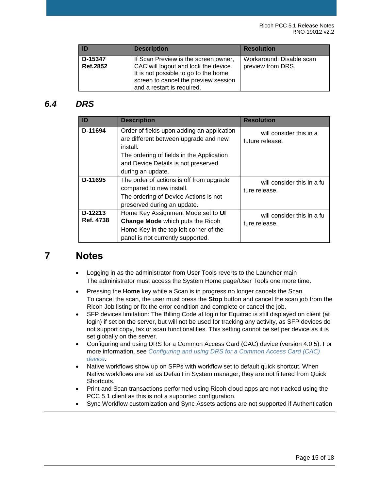| ID                  | <b>Description</b>                                                                                                                                                                         | <b>Resolution</b>                             |
|---------------------|--------------------------------------------------------------------------------------------------------------------------------------------------------------------------------------------|-----------------------------------------------|
| D-15347<br>Ref.2852 | If Scan Preview is the screen owner,<br>CAC will logout and lock the device.<br>It is not possible to go to the home<br>screen to cancel the preview session<br>and a restart is required. | Workaround: Disable scan<br>preview from DRS. |

#### <span id="page-14-0"></span>*6.4 DRS*

| ID                   | <b>Description</b>                                                                                                                                                                                       | <b>Resolution</b>                                   |
|----------------------|----------------------------------------------------------------------------------------------------------------------------------------------------------------------------------------------------------|-----------------------------------------------------|
| D-11694              | Order of fields upon adding an application<br>are different between upgrade and new<br>install.<br>The ordering of fields in the Application<br>and Device Details is not preserved<br>during an update. | Kofax will consider this in a<br>future release.    |
| D-11695              | The order of actions is off from upgrade<br>compared to new install.<br>The ordering of Device Actions is not<br>preserved during an update.                                                             | Kofax will consider this in a full<br>ture release. |
| D-12213<br>Ref. 4738 | Home Key Assignment Mode set to UI<br><b>Change Mode</b> which puts the Ricoh<br>Home Key in the top left corner of the<br>panel is not currently supported.                                             | Kofax will consider this in a fu<br>ture release.   |

# <span id="page-14-1"></span>**7 Notes**

- Logging in as the administrator from User Tools reverts to the Launcher main screen. The administrator must access the System Home page/User Tools one more time.
- Pressing the **Home** key while a Scan is in progress no longer cancels the Scan. To cancel the scan, the user must press the **Stop** button and cancel the scan job from the Ricoh Job listing or fix the error condition and complete or cancel the job.
- SFP devices limitation: The Billing Code at login for Equitrac is still displayed on client (at login) if set on the server, but will not be used for tracking any activity, as SFP devices do not support copy, fax or scan functionalities. This setting cannot be set per device as it is set globally on the server.
- Configuring and using [DRS for a Common Access Card \(CAC\) device](#page-17-0) (version 4.0.5): For [more in](#page-17-0)formation, see *Configuring and using DRS for a Common Access Card (CAC) device*.
- Native workflows show up on SFPs with workflow set to default quick shortcut. When Native workflows are set as Default in System manager, they are not filtered from Quick Shortcuts.
- Print and Scan transactions performed using Ricoh cloud apps are not tracked using the PCC 5.1 client as this is not a supported configuration.
- Sync Workflow customization and Sync Assets actions are not supported if Authentication

#### © 2019 Kofax. All rights reserved.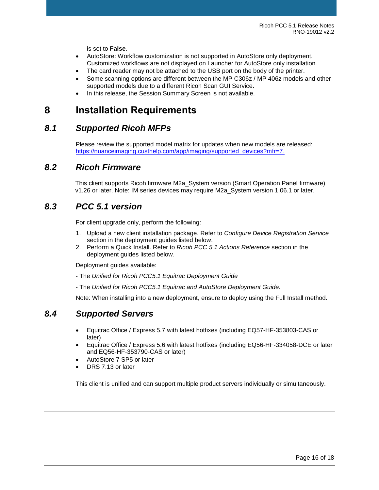is set to **False**.

- AutoStore: Workflow customization is not supported in AutoStore only deployment. Customized workflows are not displayed on Launcher for AutoStore only installation.
- The card reader may not be attached to the USB port on the body of the printer.
- Some scanning options are different between the MP C306z / MP 406z models and other supported models due to a different Ricoh Scan GUI Service.
- In this release, the Session Summary Screen is not available.

# <span id="page-15-0"></span>**8 Installation Requirements**

#### <span id="page-15-1"></span>*8.1 Supported Ricoh MFPs*

Please review the supported model matrix for updates when new models are released: [https://nuanceimaging.custhelp.com/app/imaging/supported\\_devices?mfr=7.](https://nuanceimaging.custhelp.com/app/imaging/supported_devices?mfr=7)

#### <span id="page-15-2"></span>*8.2 Ricoh Firmware*

This client supports Ricoh firmware M2a\_System version (Smart Operation Panel firmware) v1.26 or later. Note: IM series devices may require M2a\_System version 1.06.1 or later.

#### <span id="page-15-3"></span>*8.3 PCC 5.1 version*

For client upgrade only, perform the following:

- 1. Upload a new client installation package. Refer to *Configure Device Registration Service*  section in the deployment guides listed below.
- 2. Perform a Quick Install. Refer to *Ricoh PCC 5.1 Actions Reference* section in the deployment guides listed below.

Deployment guides available:

- The *Unified for Ricoh PCC5.1 Equitrac Deployment Guide*
- The *Unified for Ricoh PCC5.1 Equitrac and AutoStore Deployment Guide*.

Note: When installing into a new deployment, ensure to deploy using the Full Install method.

#### <span id="page-15-4"></span>*8.4 Supported Servers*

- Equitrac Office / Express 5.7 with latest hotfixes (including EQ57-HF-353803-CAS or later)
- Equitrac Office / Express 5.6 with latest hotfixes (including EQ56-HF-334058-DCE or later and EQ56-HF-353790-CAS or later)
- AutoStore 7 SP5 or later
- DRS 7.13 or later

This client is unified and can support multiple product servers individually or simultaneously.

© 2019 Kofax. All rights reserved.

Kofax is a trademark of Kofax, Inc., registered in the U.S. and/or other countries. All other trademarks are the property of their resp ective owners. No part of this publication may be reproduced, stored, or transmitted in any form without the prior written permission of Kofax.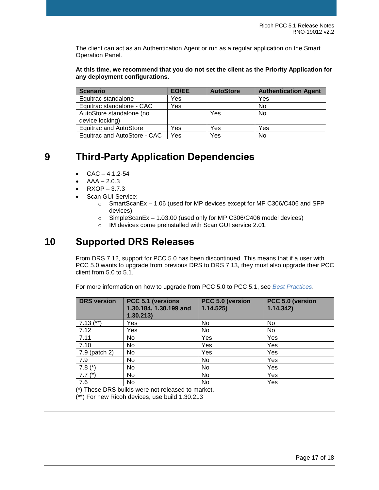The client can act as an Authentication Agent or run as a regular application on the Smart Operation Panel.

**At this time, we recommend that you do not set the client as the Priority Application for any deployment configurations.**

| <b>Scenario</b>               | EO/EE | <b>AutoStore</b> | <b>Authentication Agent</b> |
|-------------------------------|-------|------------------|-----------------------------|
| Equitrac standalone           | Yes   |                  | Yes                         |
| Equitrac standalone - CAC     | Yes   |                  | No                          |
| AutoStore standalone (no      |       | Yes              | <b>No</b>                   |
| device locking)               |       |                  |                             |
| <b>Equitrac and AutoStore</b> | Yes   | Yes              | Yes                         |
| Equitrac and AutoStore - CAC  | Yes   | Yes              | No                          |

# <span id="page-16-0"></span>**9 Third-Party Application Dependencies**

- $CAC 4.1.2 54$
- $AAA 2.0.3$
- $RXOP 3.7.3$
- Scan GUI Service:
	- o SmartScanEx 1.06 (used for MP devices except for MP C306/C406 and SFP devices)
	- o SimpleScanEx 1.03.00 (used only for MP C306/C406 model devices)
	- o IM devices come preinstalled with Scan GUI service 2.01.

# <span id="page-16-1"></span>**10 Supported DRS Releases**

From DRS 7.12, support for PCC 5.0 has been discontinued. This means that if a user with PCC 5.0 wants to upgrade from previous DRS to DRS 7.13, they must also upgrade their PCC client from 5.0 to 5.1.

For more information on how to upgrade from PCC 5.0 to PCC 5.1, see *[Best Practices](#page-17-3)*.

| <b>DRS</b> version | PCC 5.1 (versions<br>1.30.184, 1.30.199 and<br>1.30.213) | PCC 5.0 (version<br>1.14.525 | PCC 5.0 (version<br>1.14.342 |
|--------------------|----------------------------------------------------------|------------------------------|------------------------------|
| $7.13$ (**)        | Yes                                                      | No                           | No                           |
| 7.12               | Yes                                                      | No                           | No                           |
| 7.11               | No.                                                      | Yes                          | Yes                          |
| 7.10               | No                                                       | Yes                          | Yes                          |
| 7.9 (patch 2)      | No                                                       | Yes                          | Yes                          |
| 7.9                | No                                                       | No.                          | Yes                          |
| 7.8 $(*)$          | No                                                       | No                           | Yes                          |
| $7.7(*)$           | No                                                       | <b>No</b>                    | Yes                          |
| 7.6                | No                                                       | No                           | Yes                          |

(\*) These DRS builds were not released to market.

(\*\*) For new Ricoh devices, use build 1.30.213

© 2019 Kofax. All rights reserved.